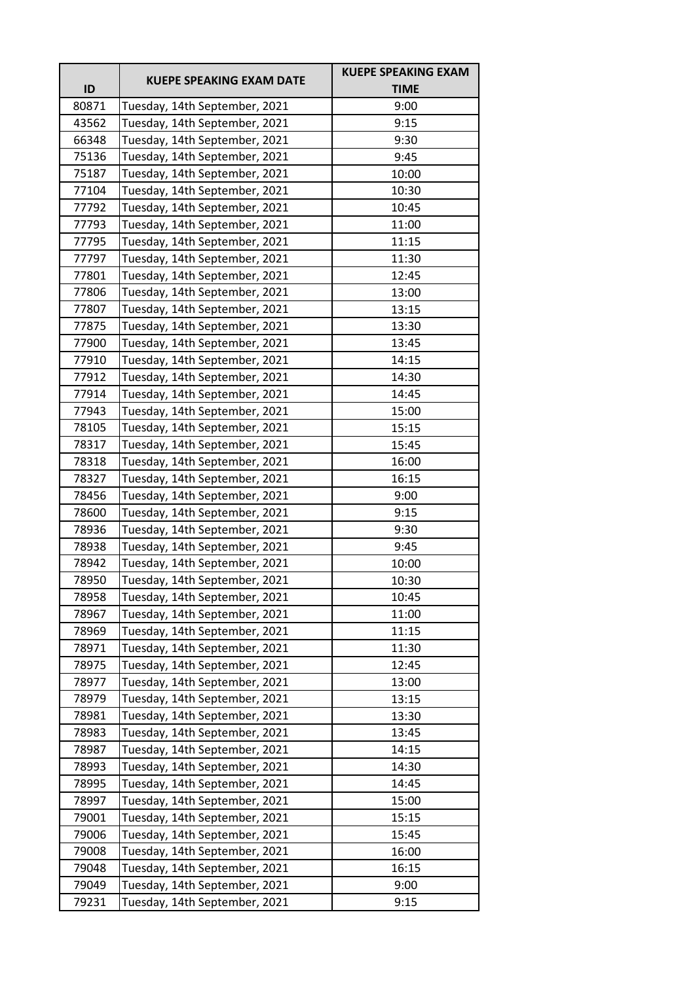|       |                                 | <b>KUEPE SPEAKING EXAM</b> |
|-------|---------------------------------|----------------------------|
| ID    | <b>KUEPE SPEAKING EXAM DATE</b> | <b>TIME</b>                |
| 80871 | Tuesday, 14th September, 2021   | 9:00                       |
| 43562 | Tuesday, 14th September, 2021   | 9:15                       |
| 66348 | Tuesday, 14th September, 2021   | 9:30                       |
| 75136 | Tuesday, 14th September, 2021   | 9:45                       |
| 75187 | Tuesday, 14th September, 2021   | 10:00                      |
| 77104 | Tuesday, 14th September, 2021   | 10:30                      |
| 77792 | Tuesday, 14th September, 2021   | 10:45                      |
| 77793 | Tuesday, 14th September, 2021   | 11:00                      |
| 77795 | Tuesday, 14th September, 2021   | 11:15                      |
| 77797 | Tuesday, 14th September, 2021   | 11:30                      |
| 77801 | Tuesday, 14th September, 2021   | 12:45                      |
| 77806 | Tuesday, 14th September, 2021   | 13:00                      |
| 77807 | Tuesday, 14th September, 2021   | 13:15                      |
| 77875 | Tuesday, 14th September, 2021   | 13:30                      |
| 77900 | Tuesday, 14th September, 2021   | 13:45                      |
| 77910 | Tuesday, 14th September, 2021   | 14:15                      |
| 77912 | Tuesday, 14th September, 2021   | 14:30                      |
| 77914 | Tuesday, 14th September, 2021   | 14:45                      |
| 77943 | Tuesday, 14th September, 2021   | 15:00                      |
| 78105 | Tuesday, 14th September, 2021   | 15:15                      |
| 78317 | Tuesday, 14th September, 2021   | 15:45                      |
| 78318 | Tuesday, 14th September, 2021   | 16:00                      |
| 78327 | Tuesday, 14th September, 2021   | 16:15                      |
| 78456 | Tuesday, 14th September, 2021   | 9:00                       |
| 78600 | Tuesday, 14th September, 2021   | 9:15                       |
| 78936 | Tuesday, 14th September, 2021   | 9:30                       |
| 78938 | Tuesday, 14th September, 2021   | 9:45                       |
| 78942 | Tuesday, 14th September, 2021   | 10:00                      |
| 78950 | Tuesday, 14th September, 2021   | 10:30                      |
| 78958 | Tuesday, 14th September, 2021   | 10:45                      |
| 78967 | Tuesday, 14th September, 2021   | 11:00                      |
| 78969 | Tuesday, 14th September, 2021   | 11:15                      |
| 78971 | Tuesday, 14th September, 2021   | 11:30                      |
| 78975 | Tuesday, 14th September, 2021   | 12:45                      |
| 78977 | Tuesday, 14th September, 2021   | 13:00                      |
| 78979 | Tuesday, 14th September, 2021   | 13:15                      |
| 78981 | Tuesday, 14th September, 2021   | 13:30                      |
| 78983 | Tuesday, 14th September, 2021   | 13:45                      |
| 78987 | Tuesday, 14th September, 2021   | 14:15                      |
| 78993 | Tuesday, 14th September, 2021   | 14:30                      |
| 78995 | Tuesday, 14th September, 2021   | 14:45                      |
| 78997 | Tuesday, 14th September, 2021   | 15:00                      |
| 79001 | Tuesday, 14th September, 2021   | 15:15                      |
| 79006 | Tuesday, 14th September, 2021   | 15:45                      |
| 79008 | Tuesday, 14th September, 2021   | 16:00                      |
| 79048 | Tuesday, 14th September, 2021   | 16:15                      |
| 79049 | Tuesday, 14th September, 2021   | 9:00                       |
| 79231 | Tuesday, 14th September, 2021   | 9:15                       |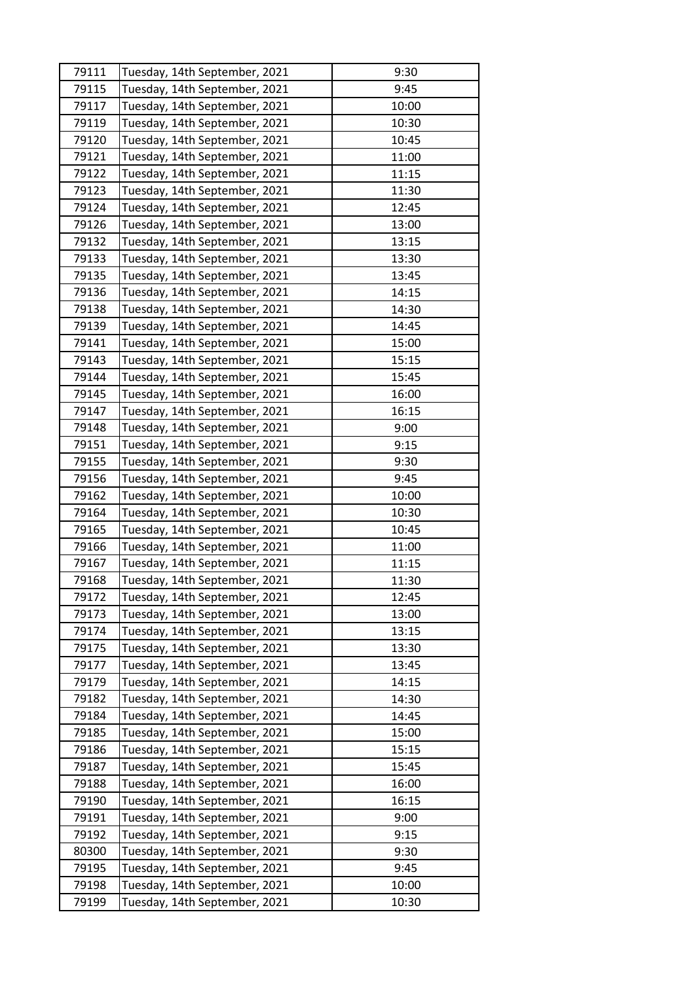| 79111 | Tuesday, 14th September, 2021 | 9:30  |
|-------|-------------------------------|-------|
| 79115 | Tuesday, 14th September, 2021 | 9:45  |
| 79117 | Tuesday, 14th September, 2021 | 10:00 |
| 79119 | Tuesday, 14th September, 2021 | 10:30 |
| 79120 | Tuesday, 14th September, 2021 | 10:45 |
| 79121 | Tuesday, 14th September, 2021 | 11:00 |
| 79122 | Tuesday, 14th September, 2021 | 11:15 |
| 79123 | Tuesday, 14th September, 2021 | 11:30 |
| 79124 | Tuesday, 14th September, 2021 | 12:45 |
| 79126 | Tuesday, 14th September, 2021 | 13:00 |
| 79132 | Tuesday, 14th September, 2021 | 13:15 |
| 79133 | Tuesday, 14th September, 2021 | 13:30 |
| 79135 | Tuesday, 14th September, 2021 | 13:45 |
| 79136 | Tuesday, 14th September, 2021 | 14:15 |
| 79138 | Tuesday, 14th September, 2021 | 14:30 |
| 79139 | Tuesday, 14th September, 2021 | 14:45 |
| 79141 | Tuesday, 14th September, 2021 | 15:00 |
| 79143 | Tuesday, 14th September, 2021 | 15:15 |
| 79144 | Tuesday, 14th September, 2021 | 15:45 |
| 79145 | Tuesday, 14th September, 2021 | 16:00 |
| 79147 | Tuesday, 14th September, 2021 | 16:15 |
| 79148 | Tuesday, 14th September, 2021 | 9:00  |
| 79151 | Tuesday, 14th September, 2021 | 9:15  |
| 79155 | Tuesday, 14th September, 2021 | 9:30  |
| 79156 | Tuesday, 14th September, 2021 | 9:45  |
| 79162 | Tuesday, 14th September, 2021 | 10:00 |
| 79164 | Tuesday, 14th September, 2021 | 10:30 |
| 79165 | Tuesday, 14th September, 2021 | 10:45 |
| 79166 | Tuesday, 14th September, 2021 | 11:00 |
| 79167 | Tuesday, 14th September, 2021 | 11:15 |
| 79168 | Tuesday, 14th September, 2021 | 11:30 |
| 79172 | Tuesday, 14th September, 2021 | 12:45 |
| 79173 | Tuesday, 14th September, 2021 | 13:00 |
| 79174 | Tuesday, 14th September, 2021 | 13:15 |
| 79175 | Tuesday, 14th September, 2021 | 13:30 |
| 79177 | Tuesday, 14th September, 2021 | 13:45 |
| 79179 | Tuesday, 14th September, 2021 | 14:15 |
| 79182 | Tuesday, 14th September, 2021 | 14:30 |
| 79184 | Tuesday, 14th September, 2021 | 14:45 |
| 79185 | Tuesday, 14th September, 2021 | 15:00 |
| 79186 | Tuesday, 14th September, 2021 | 15:15 |
| 79187 | Tuesday, 14th September, 2021 | 15:45 |
| 79188 | Tuesday, 14th September, 2021 | 16:00 |
| 79190 | Tuesday, 14th September, 2021 | 16:15 |
| 79191 | Tuesday, 14th September, 2021 | 9:00  |
| 79192 | Tuesday, 14th September, 2021 | 9:15  |
| 80300 | Tuesday, 14th September, 2021 | 9:30  |
| 79195 | Tuesday, 14th September, 2021 | 9:45  |
| 79198 | Tuesday, 14th September, 2021 | 10:00 |
| 79199 | Tuesday, 14th September, 2021 | 10:30 |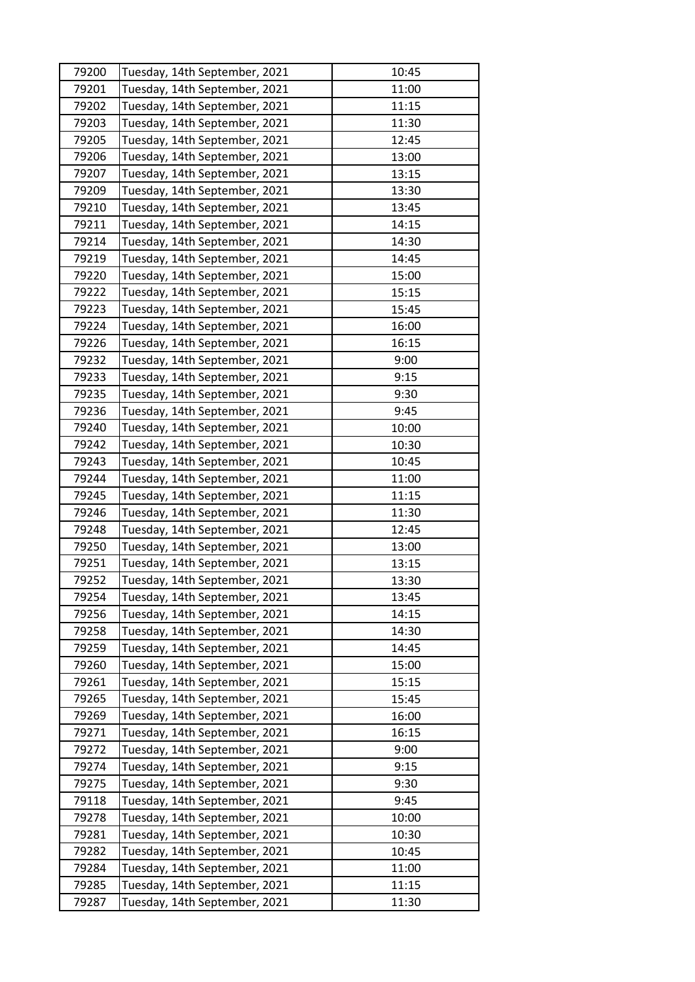| 79200 | Tuesday, 14th September, 2021 | 10:45 |
|-------|-------------------------------|-------|
| 79201 | Tuesday, 14th September, 2021 | 11:00 |
| 79202 | Tuesday, 14th September, 2021 | 11:15 |
| 79203 | Tuesday, 14th September, 2021 | 11:30 |
| 79205 | Tuesday, 14th September, 2021 | 12:45 |
| 79206 | Tuesday, 14th September, 2021 | 13:00 |
| 79207 | Tuesday, 14th September, 2021 | 13:15 |
| 79209 | Tuesday, 14th September, 2021 | 13:30 |
| 79210 | Tuesday, 14th September, 2021 | 13:45 |
| 79211 | Tuesday, 14th September, 2021 | 14:15 |
| 79214 | Tuesday, 14th September, 2021 | 14:30 |
| 79219 | Tuesday, 14th September, 2021 | 14:45 |
| 79220 | Tuesday, 14th September, 2021 | 15:00 |
| 79222 | Tuesday, 14th September, 2021 | 15:15 |
| 79223 | Tuesday, 14th September, 2021 | 15:45 |
| 79224 | Tuesday, 14th September, 2021 | 16:00 |
| 79226 | Tuesday, 14th September, 2021 | 16:15 |
| 79232 | Tuesday, 14th September, 2021 | 9:00  |
| 79233 | Tuesday, 14th September, 2021 | 9:15  |
| 79235 | Tuesday, 14th September, 2021 | 9:30  |
| 79236 | Tuesday, 14th September, 2021 | 9:45  |
| 79240 | Tuesday, 14th September, 2021 | 10:00 |
| 79242 | Tuesday, 14th September, 2021 | 10:30 |
| 79243 | Tuesday, 14th September, 2021 | 10:45 |
| 79244 | Tuesday, 14th September, 2021 | 11:00 |
| 79245 | Tuesday, 14th September, 2021 | 11:15 |
| 79246 | Tuesday, 14th September, 2021 | 11:30 |
| 79248 | Tuesday, 14th September, 2021 | 12:45 |
| 79250 | Tuesday, 14th September, 2021 | 13:00 |
| 79251 | Tuesday, 14th September, 2021 | 13:15 |
| 79252 | Tuesday, 14th September, 2021 | 13:30 |
| 79254 | Tuesday, 14th September, 2021 | 13:45 |
| 79256 | Tuesday, 14th September, 2021 | 14:15 |
| 79258 | Tuesday, 14th September, 2021 | 14:30 |
| 79259 | Tuesday, 14th September, 2021 | 14:45 |
| 79260 | Tuesday, 14th September, 2021 | 15:00 |
| 79261 | Tuesday, 14th September, 2021 | 15:15 |
| 79265 | Tuesday, 14th September, 2021 | 15:45 |
| 79269 | Tuesday, 14th September, 2021 | 16:00 |
| 79271 | Tuesday, 14th September, 2021 | 16:15 |
| 79272 | Tuesday, 14th September, 2021 | 9:00  |
| 79274 | Tuesday, 14th September, 2021 | 9:15  |
| 79275 | Tuesday, 14th September, 2021 | 9:30  |
| 79118 | Tuesday, 14th September, 2021 | 9:45  |
| 79278 | Tuesday, 14th September, 2021 | 10:00 |
| 79281 | Tuesday, 14th September, 2021 | 10:30 |
| 79282 | Tuesday, 14th September, 2021 | 10:45 |
| 79284 | Tuesday, 14th September, 2021 | 11:00 |
| 79285 | Tuesday, 14th September, 2021 | 11:15 |
| 79287 | Tuesday, 14th September, 2021 | 11:30 |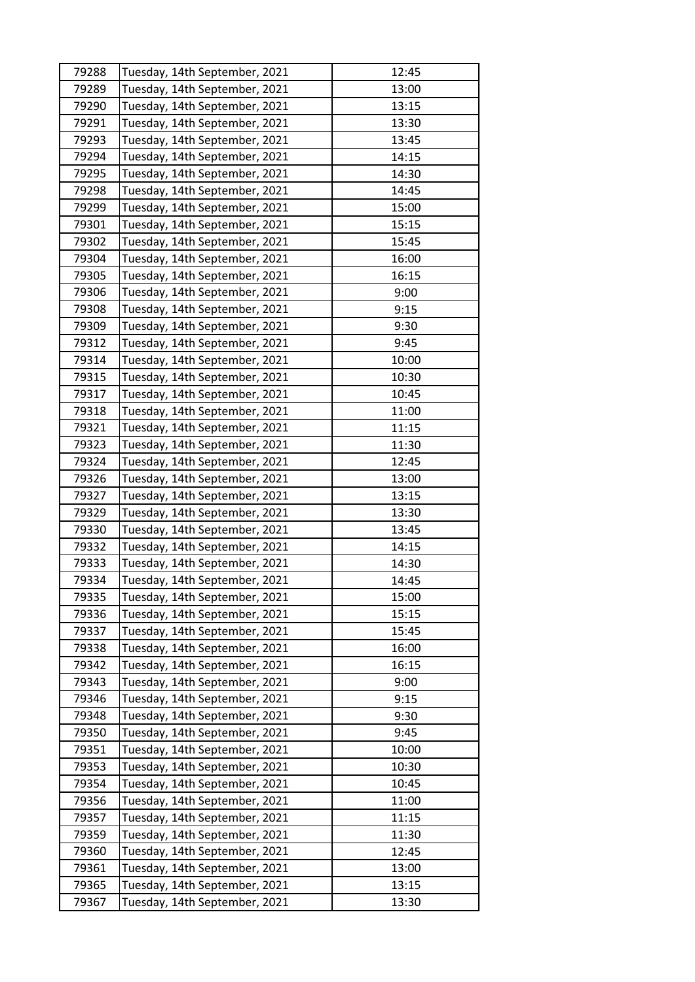| 79288 | Tuesday, 14th September, 2021 | 12:45 |
|-------|-------------------------------|-------|
| 79289 | Tuesday, 14th September, 2021 | 13:00 |
| 79290 | Tuesday, 14th September, 2021 | 13:15 |
| 79291 | Tuesday, 14th September, 2021 | 13:30 |
| 79293 | Tuesday, 14th September, 2021 | 13:45 |
| 79294 | Tuesday, 14th September, 2021 | 14:15 |
| 79295 | Tuesday, 14th September, 2021 | 14:30 |
| 79298 | Tuesday, 14th September, 2021 | 14:45 |
| 79299 | Tuesday, 14th September, 2021 | 15:00 |
| 79301 | Tuesday, 14th September, 2021 | 15:15 |
| 79302 | Tuesday, 14th September, 2021 | 15:45 |
| 79304 | Tuesday, 14th September, 2021 | 16:00 |
| 79305 | Tuesday, 14th September, 2021 | 16:15 |
| 79306 | Tuesday, 14th September, 2021 | 9:00  |
| 79308 | Tuesday, 14th September, 2021 | 9:15  |
| 79309 | Tuesday, 14th September, 2021 | 9:30  |
| 79312 | Tuesday, 14th September, 2021 | 9:45  |
| 79314 | Tuesday, 14th September, 2021 | 10:00 |
| 79315 | Tuesday, 14th September, 2021 | 10:30 |
| 79317 | Tuesday, 14th September, 2021 | 10:45 |
| 79318 | Tuesday, 14th September, 2021 | 11:00 |
| 79321 | Tuesday, 14th September, 2021 | 11:15 |
| 79323 | Tuesday, 14th September, 2021 | 11:30 |
| 79324 | Tuesday, 14th September, 2021 | 12:45 |
| 79326 | Tuesday, 14th September, 2021 | 13:00 |
| 79327 | Tuesday, 14th September, 2021 | 13:15 |
| 79329 | Tuesday, 14th September, 2021 | 13:30 |
| 79330 | Tuesday, 14th September, 2021 | 13:45 |
| 79332 | Tuesday, 14th September, 2021 | 14:15 |
| 79333 | Tuesday, 14th September, 2021 | 14:30 |
| 79334 | Tuesday, 14th September, 2021 | 14:45 |
| 79335 | Tuesday, 14th September, 2021 | 15:00 |
| 79336 | Tuesday, 14th September, 2021 | 15:15 |
| 79337 | Tuesday, 14th September, 2021 | 15:45 |
| 79338 | Tuesday, 14th September, 2021 | 16:00 |
| 79342 | Tuesday, 14th September, 2021 | 16:15 |
| 79343 | Tuesday, 14th September, 2021 | 9:00  |
| 79346 | Tuesday, 14th September, 2021 | 9:15  |
| 79348 | Tuesday, 14th September, 2021 | 9:30  |
| 79350 | Tuesday, 14th September, 2021 | 9:45  |
| 79351 | Tuesday, 14th September, 2021 | 10:00 |
| 79353 | Tuesday, 14th September, 2021 | 10:30 |
| 79354 | Tuesday, 14th September, 2021 | 10:45 |
| 79356 | Tuesday, 14th September, 2021 | 11:00 |
| 79357 | Tuesday, 14th September, 2021 | 11:15 |
| 79359 | Tuesday, 14th September, 2021 | 11:30 |
| 79360 | Tuesday, 14th September, 2021 | 12:45 |
| 79361 | Tuesday, 14th September, 2021 | 13:00 |
| 79365 | Tuesday, 14th September, 2021 | 13:15 |
| 79367 | Tuesday, 14th September, 2021 | 13:30 |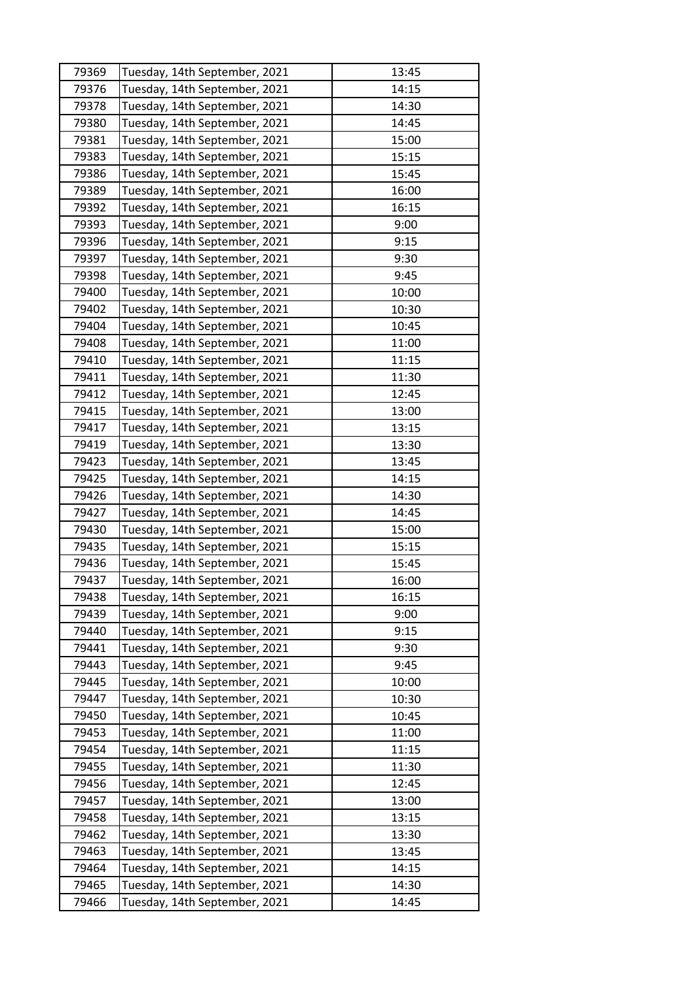| 79369 | Tuesday, 14th September, 2021 | 13:45 |
|-------|-------------------------------|-------|
| 79376 | Tuesday, 14th September, 2021 | 14:15 |
| 79378 | Tuesday, 14th September, 2021 | 14:30 |
| 79380 | Tuesday, 14th September, 2021 | 14:45 |
| 79381 | Tuesday, 14th September, 2021 | 15:00 |
| 79383 | Tuesday, 14th September, 2021 | 15:15 |
| 79386 | Tuesday, 14th September, 2021 | 15:45 |
| 79389 | Tuesday, 14th September, 2021 | 16:00 |
| 79392 | Tuesday, 14th September, 2021 | 16:15 |
| 79393 | Tuesday, 14th September, 2021 | 9:00  |
| 79396 | Tuesday, 14th September, 2021 | 9:15  |
| 79397 | Tuesday, 14th September, 2021 | 9:30  |
| 79398 | Tuesday, 14th September, 2021 | 9:45  |
| 79400 | Tuesday, 14th September, 2021 | 10:00 |
| 79402 | Tuesday, 14th September, 2021 | 10:30 |
| 79404 | Tuesday, 14th September, 2021 | 10:45 |
| 79408 | Tuesday, 14th September, 2021 | 11:00 |
| 79410 | Tuesday, 14th September, 2021 | 11:15 |
| 79411 | Tuesday, 14th September, 2021 | 11:30 |
| 79412 | Tuesday, 14th September, 2021 | 12:45 |
| 79415 | Tuesday, 14th September, 2021 | 13:00 |
| 79417 | Tuesday, 14th September, 2021 | 13:15 |
| 79419 | Tuesday, 14th September, 2021 | 13:30 |
| 79423 | Tuesday, 14th September, 2021 | 13:45 |
| 79425 | Tuesday, 14th September, 2021 | 14:15 |
| 79426 | Tuesday, 14th September, 2021 | 14:30 |
| 79427 | Tuesday, 14th September, 2021 | 14:45 |
| 79430 | Tuesday, 14th September, 2021 | 15:00 |
| 79435 | Tuesday, 14th September, 2021 | 15:15 |
| 79436 | Tuesday, 14th September, 2021 | 15:45 |
| 79437 | Tuesday, 14th September, 2021 | 16:00 |
| 79438 | Tuesday, 14th September, 2021 | 16:15 |
| 79439 | Tuesday, 14th September, 2021 | 9:00  |
| 79440 | Tuesday, 14th September, 2021 | 9:15  |
| 79441 | Tuesday, 14th September, 2021 | 9:30  |
| 79443 | Tuesday, 14th September, 2021 | 9:45  |
| 79445 | Tuesday, 14th September, 2021 | 10:00 |
| 79447 | Tuesday, 14th September, 2021 | 10:30 |
| 79450 | Tuesday, 14th September, 2021 | 10:45 |
| 79453 | Tuesday, 14th September, 2021 | 11:00 |
| 79454 | Tuesday, 14th September, 2021 | 11:15 |
| 79455 | Tuesday, 14th September, 2021 | 11:30 |
| 79456 | Tuesday, 14th September, 2021 | 12:45 |
| 79457 | Tuesday, 14th September, 2021 | 13:00 |
| 79458 | Tuesday, 14th September, 2021 | 13:15 |
| 79462 | Tuesday, 14th September, 2021 | 13:30 |
| 79463 | Tuesday, 14th September, 2021 | 13:45 |
| 79464 | Tuesday, 14th September, 2021 | 14:15 |
| 79465 | Tuesday, 14th September, 2021 | 14:30 |
|       |                               |       |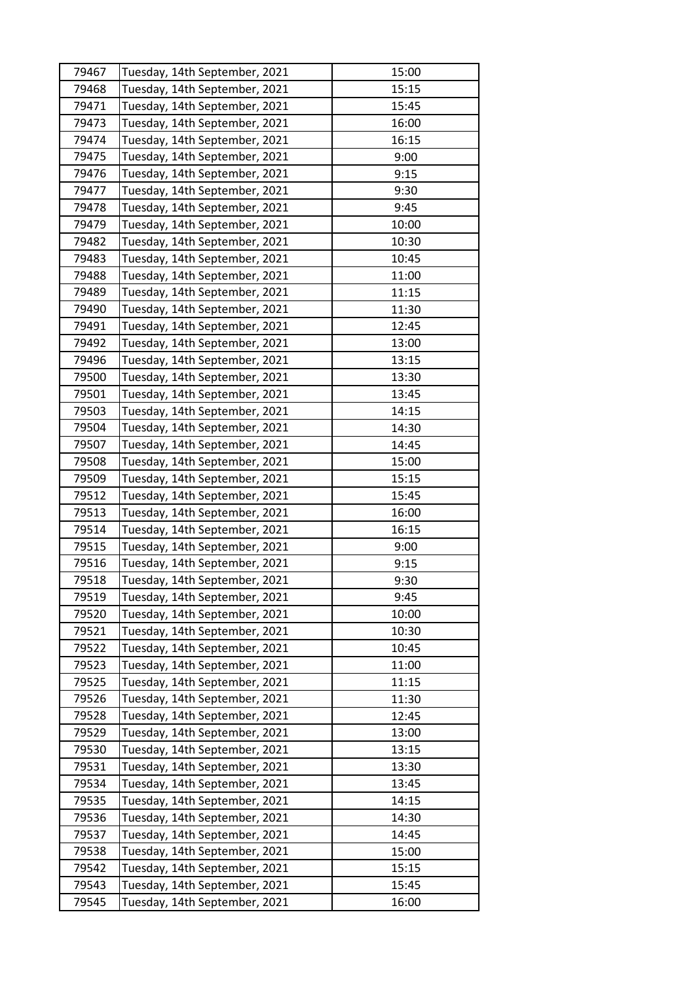| 79467 | Tuesday, 14th September, 2021 | 15:00 |
|-------|-------------------------------|-------|
| 79468 | Tuesday, 14th September, 2021 | 15:15 |
| 79471 | Tuesday, 14th September, 2021 | 15:45 |
| 79473 | Tuesday, 14th September, 2021 | 16:00 |
| 79474 | Tuesday, 14th September, 2021 | 16:15 |
| 79475 | Tuesday, 14th September, 2021 | 9:00  |
| 79476 | Tuesday, 14th September, 2021 | 9:15  |
| 79477 | Tuesday, 14th September, 2021 | 9:30  |
| 79478 | Tuesday, 14th September, 2021 | 9:45  |
| 79479 | Tuesday, 14th September, 2021 | 10:00 |
| 79482 | Tuesday, 14th September, 2021 | 10:30 |
| 79483 | Tuesday, 14th September, 2021 | 10:45 |
| 79488 | Tuesday, 14th September, 2021 | 11:00 |
| 79489 | Tuesday, 14th September, 2021 | 11:15 |
| 79490 | Tuesday, 14th September, 2021 | 11:30 |
| 79491 | Tuesday, 14th September, 2021 | 12:45 |
| 79492 | Tuesday, 14th September, 2021 | 13:00 |
| 79496 | Tuesday, 14th September, 2021 | 13:15 |
| 79500 | Tuesday, 14th September, 2021 | 13:30 |
| 79501 | Tuesday, 14th September, 2021 | 13:45 |
| 79503 | Tuesday, 14th September, 2021 | 14:15 |
| 79504 | Tuesday, 14th September, 2021 | 14:30 |
| 79507 | Tuesday, 14th September, 2021 | 14:45 |
| 79508 | Tuesday, 14th September, 2021 | 15:00 |
| 79509 | Tuesday, 14th September, 2021 | 15:15 |
| 79512 | Tuesday, 14th September, 2021 | 15:45 |
| 79513 | Tuesday, 14th September, 2021 | 16:00 |
| 79514 | Tuesday, 14th September, 2021 | 16:15 |
| 79515 | Tuesday, 14th September, 2021 | 9:00  |
| 79516 | Tuesday, 14th September, 2021 | 9:15  |
| 79518 | Tuesday, 14th September, 2021 | 9:30  |
| 79519 | Tuesday, 14th September, 2021 | 9:45  |
| 79520 | Tuesday, 14th September, 2021 | 10:00 |
| 79521 | Tuesday, 14th September, 2021 | 10:30 |
| 79522 | Tuesday, 14th September, 2021 | 10:45 |
| 79523 | Tuesday, 14th September, 2021 | 11:00 |
| 79525 | Tuesday, 14th September, 2021 | 11:15 |
| 79526 | Tuesday, 14th September, 2021 | 11:30 |
| 79528 | Tuesday, 14th September, 2021 | 12:45 |
| 79529 | Tuesday, 14th September, 2021 | 13:00 |
| 79530 | Tuesday, 14th September, 2021 | 13:15 |
| 79531 | Tuesday, 14th September, 2021 | 13:30 |
| 79534 | Tuesday, 14th September, 2021 | 13:45 |
| 79535 | Tuesday, 14th September, 2021 | 14:15 |
| 79536 | Tuesday, 14th September, 2021 | 14:30 |
| 79537 | Tuesday, 14th September, 2021 | 14:45 |
| 79538 | Tuesday, 14th September, 2021 | 15:00 |
| 79542 | Tuesday, 14th September, 2021 | 15:15 |
| 79543 | Tuesday, 14th September, 2021 | 15:45 |
| 79545 | Tuesday, 14th September, 2021 | 16:00 |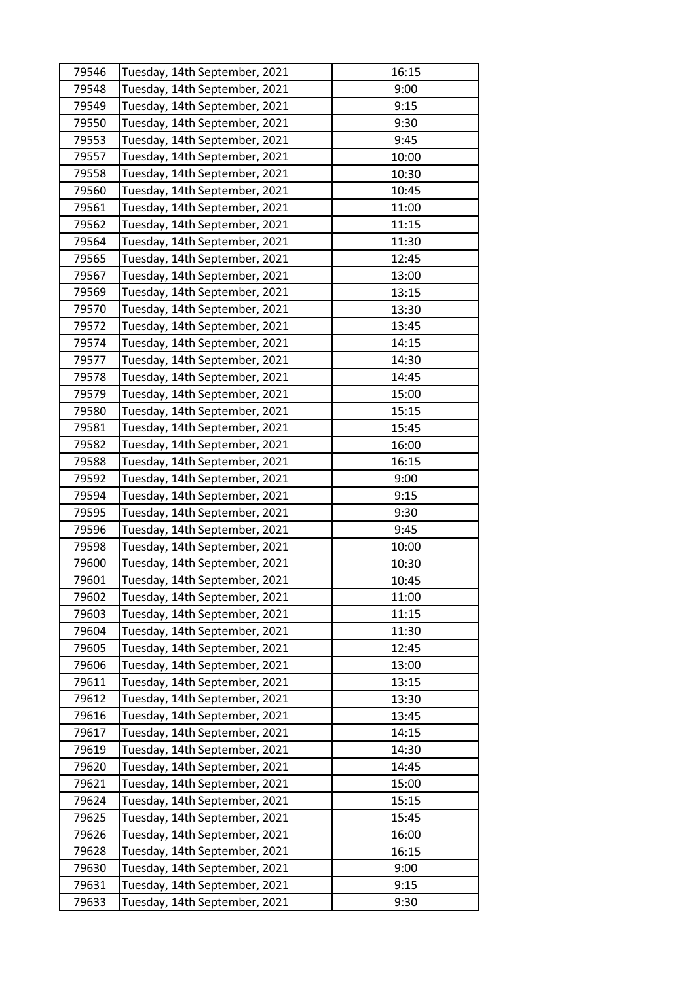| 79546 | Tuesday, 14th September, 2021 | 16:15 |
|-------|-------------------------------|-------|
| 79548 | Tuesday, 14th September, 2021 | 9:00  |
| 79549 | Tuesday, 14th September, 2021 | 9:15  |
| 79550 | Tuesday, 14th September, 2021 | 9:30  |
| 79553 | Tuesday, 14th September, 2021 | 9:45  |
| 79557 | Tuesday, 14th September, 2021 | 10:00 |
| 79558 | Tuesday, 14th September, 2021 | 10:30 |
| 79560 | Tuesday, 14th September, 2021 | 10:45 |
| 79561 | Tuesday, 14th September, 2021 | 11:00 |
| 79562 | Tuesday, 14th September, 2021 | 11:15 |
| 79564 | Tuesday, 14th September, 2021 | 11:30 |
| 79565 | Tuesday, 14th September, 2021 | 12:45 |
| 79567 | Tuesday, 14th September, 2021 | 13:00 |
| 79569 | Tuesday, 14th September, 2021 | 13:15 |
| 79570 | Tuesday, 14th September, 2021 | 13:30 |
| 79572 | Tuesday, 14th September, 2021 | 13:45 |
| 79574 | Tuesday, 14th September, 2021 | 14:15 |
| 79577 | Tuesday, 14th September, 2021 | 14:30 |
| 79578 | Tuesday, 14th September, 2021 | 14:45 |
| 79579 | Tuesday, 14th September, 2021 | 15:00 |
| 79580 | Tuesday, 14th September, 2021 | 15:15 |
| 79581 | Tuesday, 14th September, 2021 | 15:45 |
| 79582 | Tuesday, 14th September, 2021 | 16:00 |
| 79588 | Tuesday, 14th September, 2021 | 16:15 |
| 79592 | Tuesday, 14th September, 2021 | 9:00  |
| 79594 | Tuesday, 14th September, 2021 | 9:15  |
| 79595 | Tuesday, 14th September, 2021 | 9:30  |
| 79596 | Tuesday, 14th September, 2021 | 9:45  |
| 79598 | Tuesday, 14th September, 2021 | 10:00 |
| 79600 | Tuesday, 14th September, 2021 | 10:30 |
| 79601 | Tuesday, 14th September, 2021 | 10:45 |
| 79602 | Tuesday, 14th September, 2021 | 11:00 |
| 79603 | Tuesday, 14th September, 2021 | 11:15 |
| 79604 | Tuesday, 14th September, 2021 | 11:30 |
| 79605 | Tuesday, 14th September, 2021 | 12:45 |
| 79606 | Tuesday, 14th September, 2021 | 13:00 |
| 79611 | Tuesday, 14th September, 2021 | 13:15 |
| 79612 | Tuesday, 14th September, 2021 | 13:30 |
| 79616 | Tuesday, 14th September, 2021 | 13:45 |
| 79617 | Tuesday, 14th September, 2021 | 14:15 |
| 79619 | Tuesday, 14th September, 2021 | 14:30 |
| 79620 | Tuesday, 14th September, 2021 | 14:45 |
| 79621 | Tuesday, 14th September, 2021 | 15:00 |
| 79624 | Tuesday, 14th September, 2021 | 15:15 |
| 79625 | Tuesday, 14th September, 2021 | 15:45 |
| 79626 | Tuesday, 14th September, 2021 | 16:00 |
| 79628 | Tuesday, 14th September, 2021 | 16:15 |
| 79630 | Tuesday, 14th September, 2021 | 9:00  |
| 79631 | Tuesday, 14th September, 2021 | 9:15  |
| 79633 | Tuesday, 14th September, 2021 | 9:30  |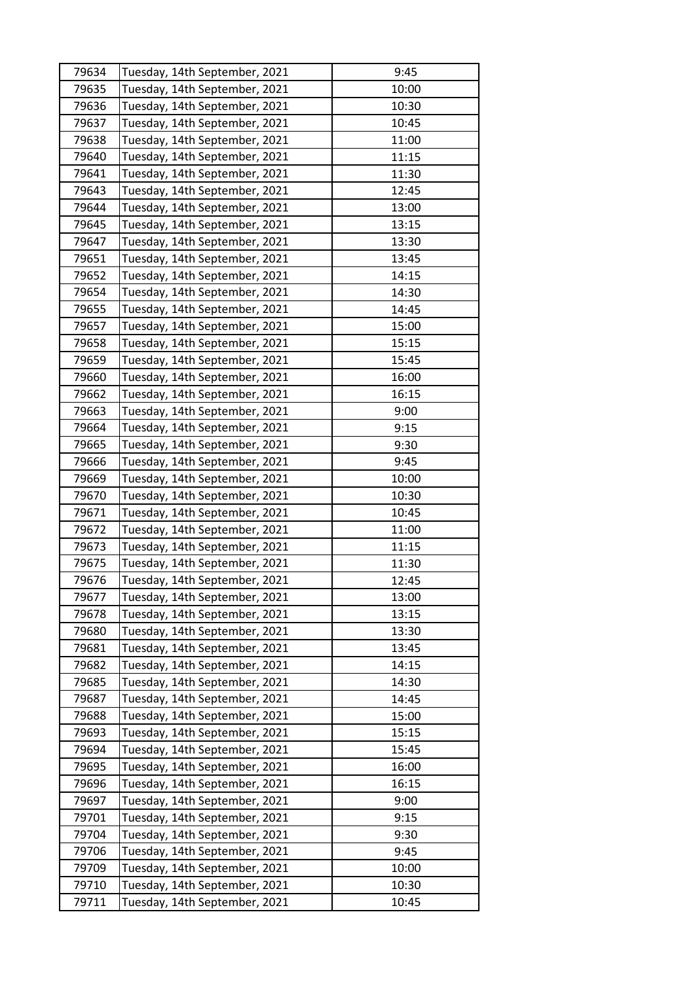| 79634 | Tuesday, 14th September, 2021 | 9:45  |
|-------|-------------------------------|-------|
| 79635 | Tuesday, 14th September, 2021 | 10:00 |
| 79636 | Tuesday, 14th September, 2021 | 10:30 |
| 79637 | Tuesday, 14th September, 2021 | 10:45 |
| 79638 | Tuesday, 14th September, 2021 | 11:00 |
| 79640 | Tuesday, 14th September, 2021 | 11:15 |
| 79641 | Tuesday, 14th September, 2021 | 11:30 |
| 79643 | Tuesday, 14th September, 2021 | 12:45 |
| 79644 | Tuesday, 14th September, 2021 | 13:00 |
| 79645 | Tuesday, 14th September, 2021 | 13:15 |
| 79647 | Tuesday, 14th September, 2021 | 13:30 |
| 79651 | Tuesday, 14th September, 2021 | 13:45 |
| 79652 | Tuesday, 14th September, 2021 | 14:15 |
| 79654 | Tuesday, 14th September, 2021 | 14:30 |
| 79655 | Tuesday, 14th September, 2021 | 14:45 |
| 79657 | Tuesday, 14th September, 2021 | 15:00 |
| 79658 | Tuesday, 14th September, 2021 | 15:15 |
| 79659 | Tuesday, 14th September, 2021 | 15:45 |
| 79660 | Tuesday, 14th September, 2021 | 16:00 |
| 79662 | Tuesday, 14th September, 2021 | 16:15 |
| 79663 | Tuesday, 14th September, 2021 | 9:00  |
| 79664 | Tuesday, 14th September, 2021 | 9:15  |
| 79665 | Tuesday, 14th September, 2021 | 9:30  |
| 79666 | Tuesday, 14th September, 2021 | 9:45  |
| 79669 | Tuesday, 14th September, 2021 | 10:00 |
| 79670 | Tuesday, 14th September, 2021 | 10:30 |
| 79671 | Tuesday, 14th September, 2021 | 10:45 |
| 79672 | Tuesday, 14th September, 2021 | 11:00 |
| 79673 | Tuesday, 14th September, 2021 | 11:15 |
| 79675 | Tuesday, 14th September, 2021 | 11:30 |
| 79676 | Tuesday, 14th September, 2021 | 12:45 |
| 79677 | Tuesday, 14th September, 2021 | 13:00 |
| 79678 | Tuesday, 14th September, 2021 | 13:15 |
| 79680 | Tuesday, 14th September, 2021 | 13:30 |
| 79681 | Tuesday, 14th September, 2021 | 13:45 |
| 79682 | Tuesday, 14th September, 2021 | 14:15 |
| 79685 | Tuesday, 14th September, 2021 | 14:30 |
| 79687 | Tuesday, 14th September, 2021 | 14:45 |
| 79688 | Tuesday, 14th September, 2021 | 15:00 |
| 79693 | Tuesday, 14th September, 2021 | 15:15 |
| 79694 | Tuesday, 14th September, 2021 | 15:45 |
| 79695 | Tuesday, 14th September, 2021 | 16:00 |
| 79696 | Tuesday, 14th September, 2021 | 16:15 |
| 79697 | Tuesday, 14th September, 2021 | 9:00  |
| 79701 | Tuesday, 14th September, 2021 | 9:15  |
| 79704 | Tuesday, 14th September, 2021 | 9:30  |
| 79706 | Tuesday, 14th September, 2021 | 9:45  |
| 79709 | Tuesday, 14th September, 2021 | 10:00 |
| 79710 | Tuesday, 14th September, 2021 | 10:30 |
|       | Tuesday, 14th September, 2021 | 10:45 |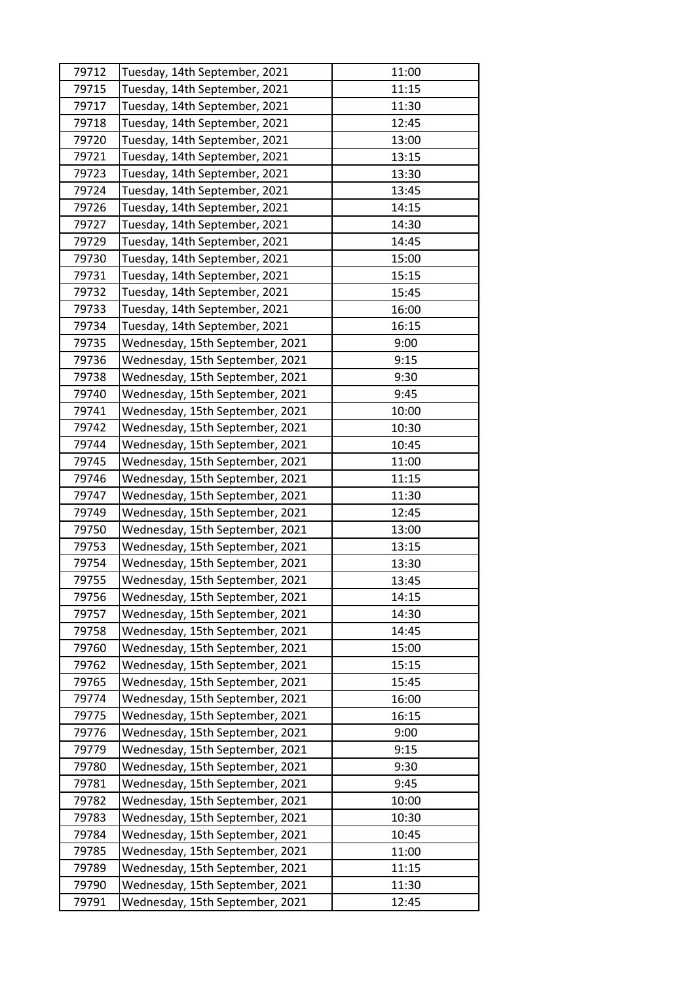| 79712 | Tuesday, 14th September, 2021   | 11:00 |
|-------|---------------------------------|-------|
| 79715 | Tuesday, 14th September, 2021   | 11:15 |
| 79717 | Tuesday, 14th September, 2021   | 11:30 |
| 79718 | Tuesday, 14th September, 2021   | 12:45 |
| 79720 | Tuesday, 14th September, 2021   | 13:00 |
| 79721 | Tuesday, 14th September, 2021   | 13:15 |
| 79723 | Tuesday, 14th September, 2021   | 13:30 |
| 79724 | Tuesday, 14th September, 2021   | 13:45 |
| 79726 | Tuesday, 14th September, 2021   | 14:15 |
| 79727 | Tuesday, 14th September, 2021   | 14:30 |
| 79729 | Tuesday, 14th September, 2021   | 14:45 |
| 79730 | Tuesday, 14th September, 2021   | 15:00 |
| 79731 | Tuesday, 14th September, 2021   | 15:15 |
| 79732 | Tuesday, 14th September, 2021   | 15:45 |
| 79733 | Tuesday, 14th September, 2021   | 16:00 |
| 79734 | Tuesday, 14th September, 2021   | 16:15 |
| 79735 | Wednesday, 15th September, 2021 | 9:00  |
| 79736 | Wednesday, 15th September, 2021 | 9:15  |
| 79738 | Wednesday, 15th September, 2021 | 9:30  |
| 79740 | Wednesday, 15th September, 2021 | 9:45  |
| 79741 | Wednesday, 15th September, 2021 | 10:00 |
| 79742 | Wednesday, 15th September, 2021 | 10:30 |
| 79744 | Wednesday, 15th September, 2021 | 10:45 |
| 79745 | Wednesday, 15th September, 2021 | 11:00 |
| 79746 | Wednesday, 15th September, 2021 | 11:15 |
| 79747 | Wednesday, 15th September, 2021 | 11:30 |
| 79749 | Wednesday, 15th September, 2021 | 12:45 |
| 79750 | Wednesday, 15th September, 2021 | 13:00 |
| 79753 | Wednesday, 15th September, 2021 | 13:15 |
| 79754 | Wednesday, 15th September, 2021 | 13:30 |
| 79755 | Wednesday, 15th September, 2021 | 13:45 |
| 79756 | Wednesday, 15th September, 2021 | 14:15 |
| 79757 | Wednesday, 15th September, 2021 | 14:30 |
| 79758 | Wednesday, 15th September, 2021 | 14:45 |
| 79760 | Wednesday, 15th September, 2021 | 15:00 |
| 79762 | Wednesday, 15th September, 2021 | 15:15 |
| 79765 | Wednesday, 15th September, 2021 | 15:45 |
| 79774 | Wednesday, 15th September, 2021 | 16:00 |
| 79775 | Wednesday, 15th September, 2021 | 16:15 |
| 79776 | Wednesday, 15th September, 2021 | 9:00  |
| 79779 | Wednesday, 15th September, 2021 | 9:15  |
| 79780 | Wednesday, 15th September, 2021 | 9:30  |
| 79781 | Wednesday, 15th September, 2021 | 9:45  |
| 79782 | Wednesday, 15th September, 2021 | 10:00 |
| 79783 | Wednesday, 15th September, 2021 | 10:30 |
| 79784 | Wednesday, 15th September, 2021 | 10:45 |
| 79785 | Wednesday, 15th September, 2021 | 11:00 |
| 79789 | Wednesday, 15th September, 2021 | 11:15 |
| 79790 | Wednesday, 15th September, 2021 | 11:30 |
| 79791 | Wednesday, 15th September, 2021 | 12:45 |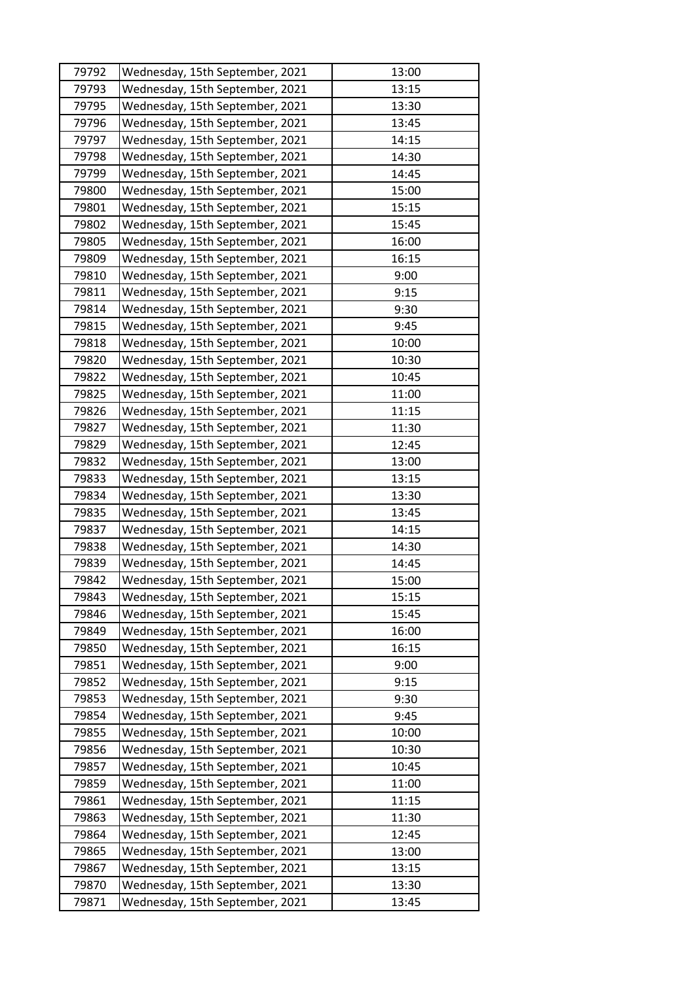| 79792 | Wednesday, 15th September, 2021 | 13:00 |
|-------|---------------------------------|-------|
| 79793 | Wednesday, 15th September, 2021 | 13:15 |
| 79795 | Wednesday, 15th September, 2021 | 13:30 |
| 79796 | Wednesday, 15th September, 2021 | 13:45 |
| 79797 | Wednesday, 15th September, 2021 | 14:15 |
| 79798 | Wednesday, 15th September, 2021 | 14:30 |
| 79799 | Wednesday, 15th September, 2021 | 14:45 |
| 79800 | Wednesday, 15th September, 2021 | 15:00 |
| 79801 | Wednesday, 15th September, 2021 | 15:15 |
| 79802 | Wednesday, 15th September, 2021 | 15:45 |
| 79805 | Wednesday, 15th September, 2021 | 16:00 |
| 79809 | Wednesday, 15th September, 2021 | 16:15 |
| 79810 | Wednesday, 15th September, 2021 | 9:00  |
| 79811 | Wednesday, 15th September, 2021 | 9:15  |
| 79814 | Wednesday, 15th September, 2021 | 9:30  |
| 79815 | Wednesday, 15th September, 2021 | 9:45  |
| 79818 | Wednesday, 15th September, 2021 | 10:00 |
| 79820 | Wednesday, 15th September, 2021 | 10:30 |
| 79822 | Wednesday, 15th September, 2021 | 10:45 |
| 79825 | Wednesday, 15th September, 2021 | 11:00 |
| 79826 | Wednesday, 15th September, 2021 | 11:15 |
| 79827 | Wednesday, 15th September, 2021 | 11:30 |
| 79829 | Wednesday, 15th September, 2021 | 12:45 |
| 79832 | Wednesday, 15th September, 2021 | 13:00 |
| 79833 | Wednesday, 15th September, 2021 | 13:15 |
| 79834 | Wednesday, 15th September, 2021 | 13:30 |
| 79835 | Wednesday, 15th September, 2021 | 13:45 |
| 79837 | Wednesday, 15th September, 2021 | 14:15 |
| 79838 | Wednesday, 15th September, 2021 | 14:30 |
| 79839 | Wednesday, 15th September, 2021 | 14:45 |
| 79842 | Wednesday, 15th September, 2021 | 15:00 |
| 79843 | Wednesday, 15th September, 2021 | 15:15 |
| 79846 | Wednesday, 15th September, 2021 | 15:45 |
| 79849 | Wednesday, 15th September, 2021 | 16:00 |
| 79850 | Wednesday, 15th September, 2021 | 16:15 |
| 79851 | Wednesday, 15th September, 2021 | 9:00  |
| 79852 | Wednesday, 15th September, 2021 | 9:15  |
| 79853 | Wednesday, 15th September, 2021 | 9:30  |
| 79854 | Wednesday, 15th September, 2021 | 9:45  |
| 79855 | Wednesday, 15th September, 2021 | 10:00 |
| 79856 | Wednesday, 15th September, 2021 | 10:30 |
| 79857 | Wednesday, 15th September, 2021 | 10:45 |
| 79859 | Wednesday, 15th September, 2021 | 11:00 |
| 79861 | Wednesday, 15th September, 2021 | 11:15 |
| 79863 | Wednesday, 15th September, 2021 | 11:30 |
| 79864 | Wednesday, 15th September, 2021 | 12:45 |
| 79865 | Wednesday, 15th September, 2021 | 13:00 |
| 79867 | Wednesday, 15th September, 2021 | 13:15 |
| 79870 | Wednesday, 15th September, 2021 | 13:30 |
| 79871 | Wednesday, 15th September, 2021 | 13:45 |
|       |                                 |       |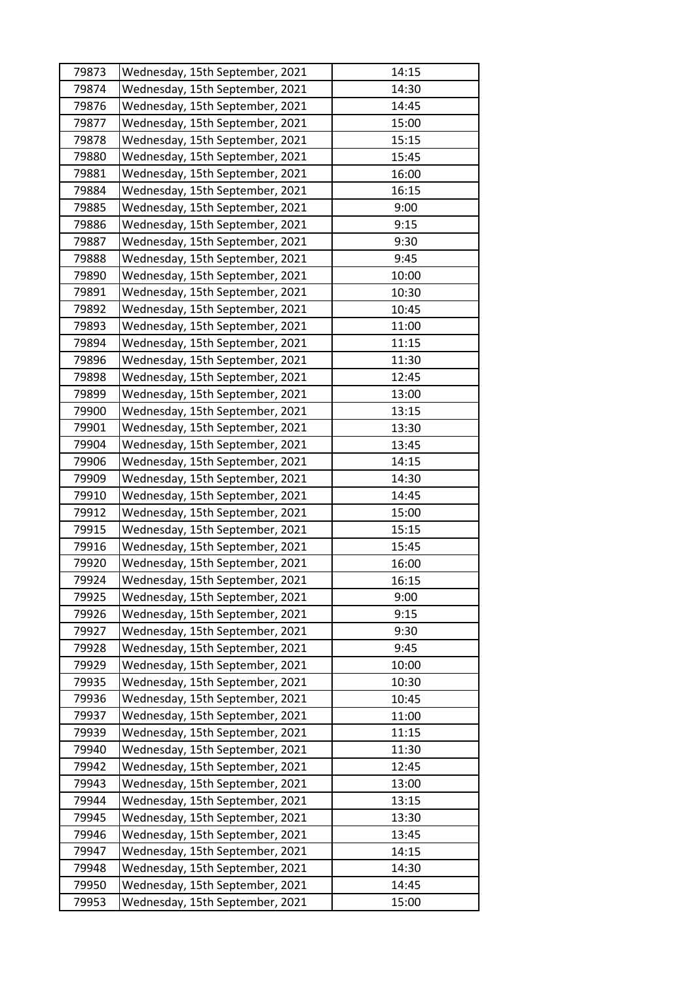| 79873 | Wednesday, 15th September, 2021 | 14:15 |
|-------|---------------------------------|-------|
| 79874 | Wednesday, 15th September, 2021 | 14:30 |
| 79876 | Wednesday, 15th September, 2021 | 14:45 |
| 79877 | Wednesday, 15th September, 2021 | 15:00 |
| 79878 | Wednesday, 15th September, 2021 | 15:15 |
| 79880 | Wednesday, 15th September, 2021 | 15:45 |
| 79881 | Wednesday, 15th September, 2021 | 16:00 |
| 79884 | Wednesday, 15th September, 2021 | 16:15 |
| 79885 | Wednesday, 15th September, 2021 | 9:00  |
| 79886 | Wednesday, 15th September, 2021 | 9:15  |
| 79887 | Wednesday, 15th September, 2021 | 9:30  |
| 79888 | Wednesday, 15th September, 2021 | 9:45  |
| 79890 | Wednesday, 15th September, 2021 | 10:00 |
| 79891 | Wednesday, 15th September, 2021 | 10:30 |
| 79892 | Wednesday, 15th September, 2021 | 10:45 |
| 79893 | Wednesday, 15th September, 2021 | 11:00 |
| 79894 | Wednesday, 15th September, 2021 | 11:15 |
| 79896 | Wednesday, 15th September, 2021 | 11:30 |
| 79898 | Wednesday, 15th September, 2021 | 12:45 |
| 79899 | Wednesday, 15th September, 2021 | 13:00 |
| 79900 | Wednesday, 15th September, 2021 | 13:15 |
| 79901 | Wednesday, 15th September, 2021 | 13:30 |
| 79904 | Wednesday, 15th September, 2021 | 13:45 |
| 79906 | Wednesday, 15th September, 2021 | 14:15 |
| 79909 | Wednesday, 15th September, 2021 | 14:30 |
| 79910 | Wednesday, 15th September, 2021 | 14:45 |
| 79912 | Wednesday, 15th September, 2021 | 15:00 |
| 79915 | Wednesday, 15th September, 2021 | 15:15 |
| 79916 | Wednesday, 15th September, 2021 | 15:45 |
| 79920 | Wednesday, 15th September, 2021 | 16:00 |
| 79924 | Wednesday, 15th September, 2021 | 16:15 |
| 79925 | Wednesday, 15th September, 2021 | 9:00  |
| 79926 | Wednesday, 15th September, 2021 | 9:15  |
| 79927 | Wednesday, 15th September, 2021 | 9:30  |
| 79928 | Wednesday, 15th September, 2021 | 9:45  |
| 79929 | Wednesday, 15th September, 2021 | 10:00 |
| 79935 | Wednesday, 15th September, 2021 | 10:30 |
| 79936 | Wednesday, 15th September, 2021 | 10:45 |
| 79937 | Wednesday, 15th September, 2021 | 11:00 |
| 79939 | Wednesday, 15th September, 2021 | 11:15 |
| 79940 | Wednesday, 15th September, 2021 | 11:30 |
| 79942 | Wednesday, 15th September, 2021 | 12:45 |
| 79943 | Wednesday, 15th September, 2021 | 13:00 |
| 79944 | Wednesday, 15th September, 2021 | 13:15 |
| 79945 | Wednesday, 15th September, 2021 | 13:30 |
| 79946 | Wednesday, 15th September, 2021 | 13:45 |
| 79947 | Wednesday, 15th September, 2021 | 14:15 |
| 79948 | Wednesday, 15th September, 2021 | 14:30 |
| 79950 | Wednesday, 15th September, 2021 | 14:45 |
| 79953 | Wednesday, 15th September, 2021 | 15:00 |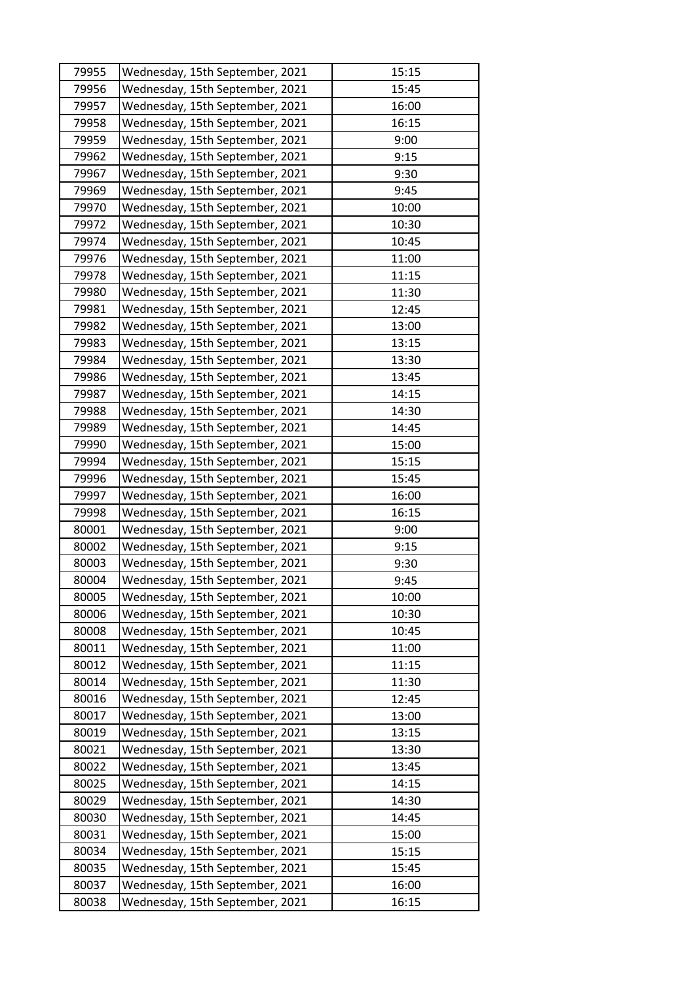| 79955 | Wednesday, 15th September, 2021 | 15:15 |
|-------|---------------------------------|-------|
| 79956 | Wednesday, 15th September, 2021 | 15:45 |
| 79957 | Wednesday, 15th September, 2021 | 16:00 |
| 79958 | Wednesday, 15th September, 2021 | 16:15 |
| 79959 | Wednesday, 15th September, 2021 | 9:00  |
| 79962 | Wednesday, 15th September, 2021 | 9:15  |
| 79967 | Wednesday, 15th September, 2021 | 9:30  |
| 79969 | Wednesday, 15th September, 2021 | 9:45  |
| 79970 | Wednesday, 15th September, 2021 | 10:00 |
| 79972 | Wednesday, 15th September, 2021 | 10:30 |
| 79974 | Wednesday, 15th September, 2021 | 10:45 |
| 79976 | Wednesday, 15th September, 2021 | 11:00 |
| 79978 | Wednesday, 15th September, 2021 | 11:15 |
| 79980 | Wednesday, 15th September, 2021 | 11:30 |
| 79981 | Wednesday, 15th September, 2021 | 12:45 |
| 79982 | Wednesday, 15th September, 2021 | 13:00 |
| 79983 | Wednesday, 15th September, 2021 | 13:15 |
| 79984 | Wednesday, 15th September, 2021 | 13:30 |
| 79986 | Wednesday, 15th September, 2021 | 13:45 |
| 79987 | Wednesday, 15th September, 2021 | 14:15 |
| 79988 | Wednesday, 15th September, 2021 | 14:30 |
| 79989 | Wednesday, 15th September, 2021 | 14:45 |
| 79990 | Wednesday, 15th September, 2021 | 15:00 |
| 79994 | Wednesday, 15th September, 2021 | 15:15 |
| 79996 | Wednesday, 15th September, 2021 | 15:45 |
| 79997 | Wednesday, 15th September, 2021 | 16:00 |
| 79998 | Wednesday, 15th September, 2021 | 16:15 |
| 80001 | Wednesday, 15th September, 2021 | 9:00  |
| 80002 | Wednesday, 15th September, 2021 | 9:15  |
| 80003 | Wednesday, 15th September, 2021 | 9:30  |
| 80004 | Wednesday, 15th September, 2021 | 9:45  |
| 80005 | Wednesday, 15th September, 2021 | 10:00 |
| 80006 | Wednesday, 15th September, 2021 | 10:30 |
| 80008 | Wednesday, 15th September, 2021 | 10:45 |
| 80011 | Wednesday, 15th September, 2021 | 11:00 |
| 80012 | Wednesday, 15th September, 2021 | 11:15 |
| 80014 | Wednesday, 15th September, 2021 | 11:30 |
| 80016 | Wednesday, 15th September, 2021 | 12:45 |
| 80017 | Wednesday, 15th September, 2021 | 13:00 |
| 80019 | Wednesday, 15th September, 2021 | 13:15 |
| 80021 | Wednesday, 15th September, 2021 | 13:30 |
| 80022 | Wednesday, 15th September, 2021 | 13:45 |
| 80025 | Wednesday, 15th September, 2021 | 14:15 |
| 80029 | Wednesday, 15th September, 2021 | 14:30 |
| 80030 | Wednesday, 15th September, 2021 | 14:45 |
| 80031 | Wednesday, 15th September, 2021 | 15:00 |
| 80034 | Wednesday, 15th September, 2021 | 15:15 |
| 80035 | Wednesday, 15th September, 2021 | 15:45 |
| 80037 | Wednesday, 15th September, 2021 | 16:00 |
| 80038 | Wednesday, 15th September, 2021 | 16:15 |
|       |                                 |       |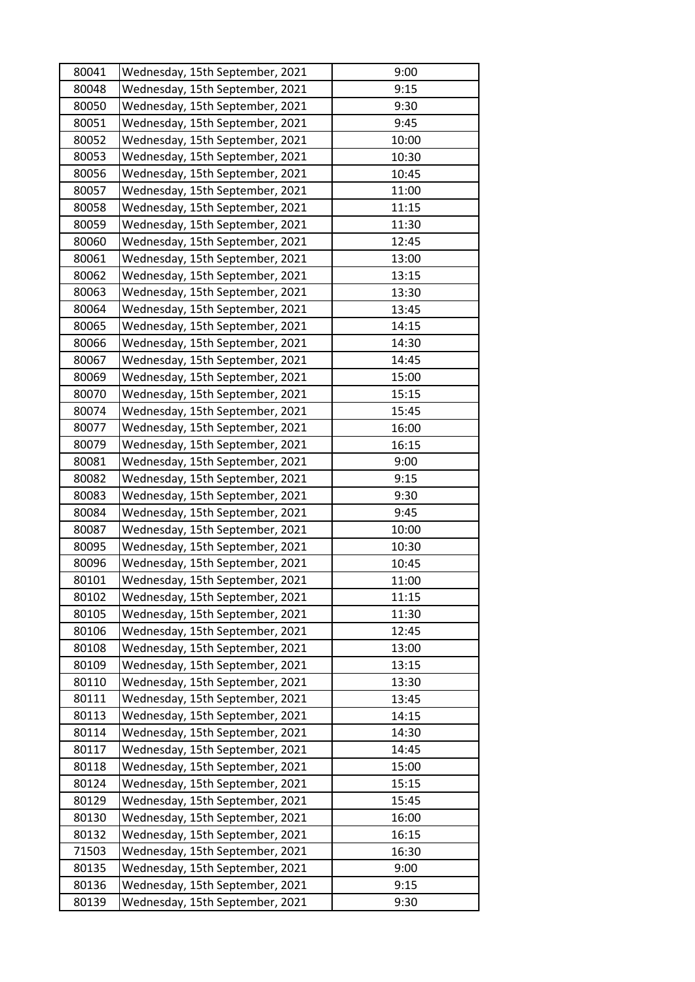| 80041 | Wednesday, 15th September, 2021 | 9:00  |
|-------|---------------------------------|-------|
| 80048 | Wednesday, 15th September, 2021 | 9:15  |
| 80050 | Wednesday, 15th September, 2021 | 9:30  |
| 80051 | Wednesday, 15th September, 2021 | 9:45  |
| 80052 | Wednesday, 15th September, 2021 | 10:00 |
| 80053 | Wednesday, 15th September, 2021 | 10:30 |
| 80056 | Wednesday, 15th September, 2021 | 10:45 |
| 80057 | Wednesday, 15th September, 2021 | 11:00 |
| 80058 | Wednesday, 15th September, 2021 | 11:15 |
| 80059 | Wednesday, 15th September, 2021 | 11:30 |
| 80060 | Wednesday, 15th September, 2021 | 12:45 |
| 80061 | Wednesday, 15th September, 2021 | 13:00 |
| 80062 | Wednesday, 15th September, 2021 | 13:15 |
| 80063 | Wednesday, 15th September, 2021 | 13:30 |
| 80064 | Wednesday, 15th September, 2021 | 13:45 |
| 80065 | Wednesday, 15th September, 2021 | 14:15 |
| 80066 | Wednesday, 15th September, 2021 | 14:30 |
| 80067 | Wednesday, 15th September, 2021 | 14:45 |
| 80069 | Wednesday, 15th September, 2021 | 15:00 |
| 80070 | Wednesday, 15th September, 2021 | 15:15 |
| 80074 | Wednesday, 15th September, 2021 | 15:45 |
| 80077 | Wednesday, 15th September, 2021 | 16:00 |
| 80079 | Wednesday, 15th September, 2021 | 16:15 |
| 80081 | Wednesday, 15th September, 2021 | 9:00  |
| 80082 | Wednesday, 15th September, 2021 | 9:15  |
| 80083 | Wednesday, 15th September, 2021 | 9:30  |
| 80084 | Wednesday, 15th September, 2021 | 9:45  |
| 80087 | Wednesday, 15th September, 2021 | 10:00 |
| 80095 | Wednesday, 15th September, 2021 | 10:30 |
| 80096 | Wednesday, 15th September, 2021 | 10:45 |
| 80101 | Wednesday, 15th September, 2021 | 11:00 |
| 80102 | Wednesday, 15th September, 2021 | 11:15 |
| 80105 | Wednesday, 15th September, 2021 | 11:30 |
| 80106 | Wednesday, 15th September, 2021 | 12:45 |
| 80108 | Wednesday, 15th September, 2021 | 13:00 |
| 80109 | Wednesday, 15th September, 2021 | 13:15 |
| 80110 | Wednesday, 15th September, 2021 | 13:30 |
| 80111 | Wednesday, 15th September, 2021 | 13:45 |
| 80113 | Wednesday, 15th September, 2021 | 14:15 |
| 80114 | Wednesday, 15th September, 2021 | 14:30 |
| 80117 | Wednesday, 15th September, 2021 | 14:45 |
| 80118 | Wednesday, 15th September, 2021 | 15:00 |
| 80124 | Wednesday, 15th September, 2021 | 15:15 |
| 80129 | Wednesday, 15th September, 2021 | 15:45 |
| 80130 | Wednesday, 15th September, 2021 | 16:00 |
| 80132 | Wednesday, 15th September, 2021 | 16:15 |
| 71503 | Wednesday, 15th September, 2021 | 16:30 |
|       |                                 |       |
| 80135 | Wednesday, 15th September, 2021 | 9:00  |
| 80136 | Wednesday, 15th September, 2021 | 9:15  |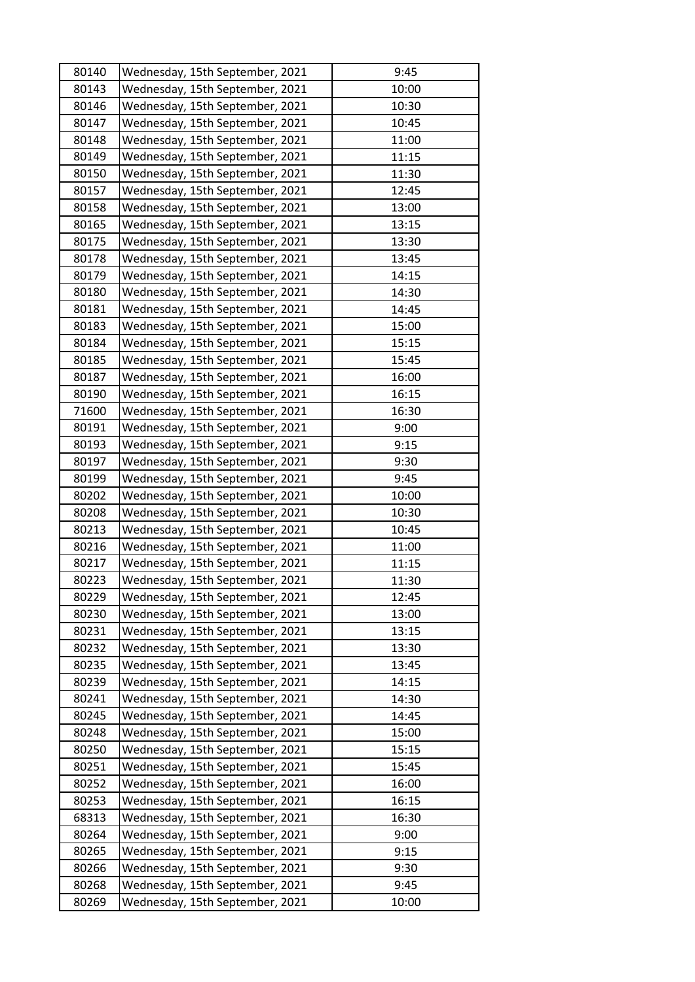| 80140 | Wednesday, 15th September, 2021 | 9:45  |
|-------|---------------------------------|-------|
| 80143 | Wednesday, 15th September, 2021 | 10:00 |
| 80146 | Wednesday, 15th September, 2021 | 10:30 |
| 80147 | Wednesday, 15th September, 2021 | 10:45 |
| 80148 | Wednesday, 15th September, 2021 | 11:00 |
| 80149 | Wednesday, 15th September, 2021 | 11:15 |
| 80150 | Wednesday, 15th September, 2021 | 11:30 |
| 80157 | Wednesday, 15th September, 2021 | 12:45 |
| 80158 | Wednesday, 15th September, 2021 | 13:00 |
| 80165 | Wednesday, 15th September, 2021 | 13:15 |
| 80175 | Wednesday, 15th September, 2021 | 13:30 |
| 80178 | Wednesday, 15th September, 2021 | 13:45 |
| 80179 | Wednesday, 15th September, 2021 | 14:15 |
| 80180 | Wednesday, 15th September, 2021 | 14:30 |
| 80181 | Wednesday, 15th September, 2021 | 14:45 |
| 80183 | Wednesday, 15th September, 2021 | 15:00 |
| 80184 | Wednesday, 15th September, 2021 | 15:15 |
| 80185 | Wednesday, 15th September, 2021 | 15:45 |
| 80187 | Wednesday, 15th September, 2021 | 16:00 |
| 80190 | Wednesday, 15th September, 2021 | 16:15 |
| 71600 | Wednesday, 15th September, 2021 | 16:30 |
| 80191 | Wednesday, 15th September, 2021 | 9:00  |
| 80193 | Wednesday, 15th September, 2021 | 9:15  |
| 80197 | Wednesday, 15th September, 2021 | 9:30  |
| 80199 | Wednesday, 15th September, 2021 | 9:45  |
| 80202 | Wednesday, 15th September, 2021 | 10:00 |
| 80208 | Wednesday, 15th September, 2021 | 10:30 |
| 80213 | Wednesday, 15th September, 2021 | 10:45 |
| 80216 | Wednesday, 15th September, 2021 | 11:00 |
| 80217 | Wednesday, 15th September, 2021 | 11:15 |
| 80223 | Wednesday, 15th September, 2021 | 11:30 |
| 80229 | Wednesday, 15th September, 2021 | 12:45 |
| 80230 | Wednesday, 15th September, 2021 | 13:00 |
| 80231 | Wednesday, 15th September, 2021 | 13:15 |
| 80232 | Wednesday, 15th September, 2021 | 13:30 |
| 80235 | Wednesday, 15th September, 2021 | 13:45 |
| 80239 | Wednesday, 15th September, 2021 | 14:15 |
| 80241 | Wednesday, 15th September, 2021 | 14:30 |
| 80245 | Wednesday, 15th September, 2021 | 14:45 |
| 80248 | Wednesday, 15th September, 2021 | 15:00 |
| 80250 | Wednesday, 15th September, 2021 | 15:15 |
| 80251 | Wednesday, 15th September, 2021 | 15:45 |
| 80252 | Wednesday, 15th September, 2021 | 16:00 |
| 80253 | Wednesday, 15th September, 2021 | 16:15 |
| 68313 | Wednesday, 15th September, 2021 | 16:30 |
| 80264 | Wednesday, 15th September, 2021 | 9:00  |
| 80265 | Wednesday, 15th September, 2021 | 9:15  |
| 80266 | Wednesday, 15th September, 2021 | 9:30  |
| 80268 | Wednesday, 15th September, 2021 | 9:45  |
| 80269 | Wednesday, 15th September, 2021 | 10:00 |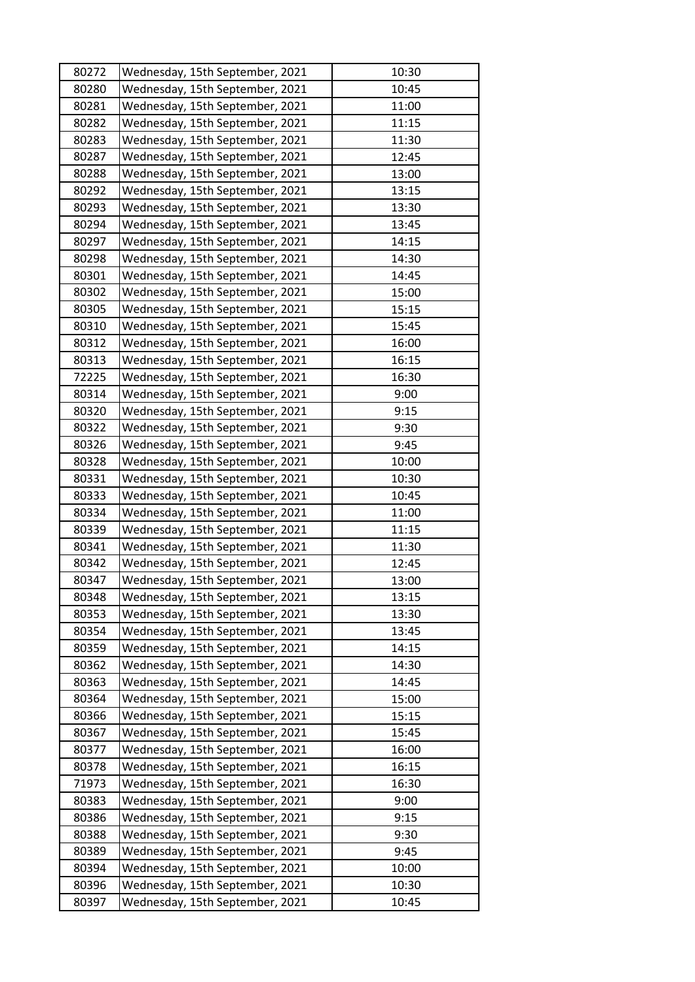| 80272 | Wednesday, 15th September, 2021 | 10:30 |
|-------|---------------------------------|-------|
| 80280 | Wednesday, 15th September, 2021 | 10:45 |
| 80281 | Wednesday, 15th September, 2021 | 11:00 |
| 80282 | Wednesday, 15th September, 2021 | 11:15 |
| 80283 | Wednesday, 15th September, 2021 | 11:30 |
| 80287 | Wednesday, 15th September, 2021 | 12:45 |
| 80288 | Wednesday, 15th September, 2021 | 13:00 |
| 80292 | Wednesday, 15th September, 2021 | 13:15 |
| 80293 | Wednesday, 15th September, 2021 | 13:30 |
| 80294 | Wednesday, 15th September, 2021 | 13:45 |
| 80297 | Wednesday, 15th September, 2021 | 14:15 |
| 80298 | Wednesday, 15th September, 2021 | 14:30 |
| 80301 | Wednesday, 15th September, 2021 | 14:45 |
| 80302 | Wednesday, 15th September, 2021 | 15:00 |
| 80305 | Wednesday, 15th September, 2021 | 15:15 |
| 80310 | Wednesday, 15th September, 2021 | 15:45 |
| 80312 | Wednesday, 15th September, 2021 | 16:00 |
| 80313 | Wednesday, 15th September, 2021 | 16:15 |
| 72225 | Wednesday, 15th September, 2021 | 16:30 |
| 80314 | Wednesday, 15th September, 2021 | 9:00  |
| 80320 | Wednesday, 15th September, 2021 | 9:15  |
| 80322 | Wednesday, 15th September, 2021 | 9:30  |
| 80326 | Wednesday, 15th September, 2021 | 9:45  |
| 80328 | Wednesday, 15th September, 2021 | 10:00 |
| 80331 | Wednesday, 15th September, 2021 | 10:30 |
| 80333 | Wednesday, 15th September, 2021 | 10:45 |
| 80334 | Wednesday, 15th September, 2021 | 11:00 |
| 80339 | Wednesday, 15th September, 2021 | 11:15 |
| 80341 | Wednesday, 15th September, 2021 | 11:30 |
| 80342 | Wednesday, 15th September, 2021 | 12:45 |
| 80347 | Wednesday, 15th September, 2021 | 13:00 |
| 80348 | Wednesday, 15th September, 2021 | 13:15 |
| 80353 | Wednesday, 15th September, 2021 | 13:30 |
| 80354 | Wednesday, 15th September, 2021 | 13:45 |
| 80359 | Wednesday, 15th September, 2021 | 14:15 |
| 80362 | Wednesday, 15th September, 2021 | 14:30 |
| 80363 | Wednesday, 15th September, 2021 | 14:45 |
| 80364 | Wednesday, 15th September, 2021 | 15:00 |
| 80366 | Wednesday, 15th September, 2021 | 15:15 |
| 80367 | Wednesday, 15th September, 2021 | 15:45 |
| 80377 | Wednesday, 15th September, 2021 | 16:00 |
| 80378 | Wednesday, 15th September, 2021 | 16:15 |
| 71973 | Wednesday, 15th September, 2021 | 16:30 |
| 80383 | Wednesday, 15th September, 2021 | 9:00  |
| 80386 | Wednesday, 15th September, 2021 | 9:15  |
| 80388 | Wednesday, 15th September, 2021 | 9:30  |
| 80389 | Wednesday, 15th September, 2021 | 9:45  |
| 80394 | Wednesday, 15th September, 2021 | 10:00 |
| 80396 | Wednesday, 15th September, 2021 | 10:30 |
| 80397 | Wednesday, 15th September, 2021 | 10:45 |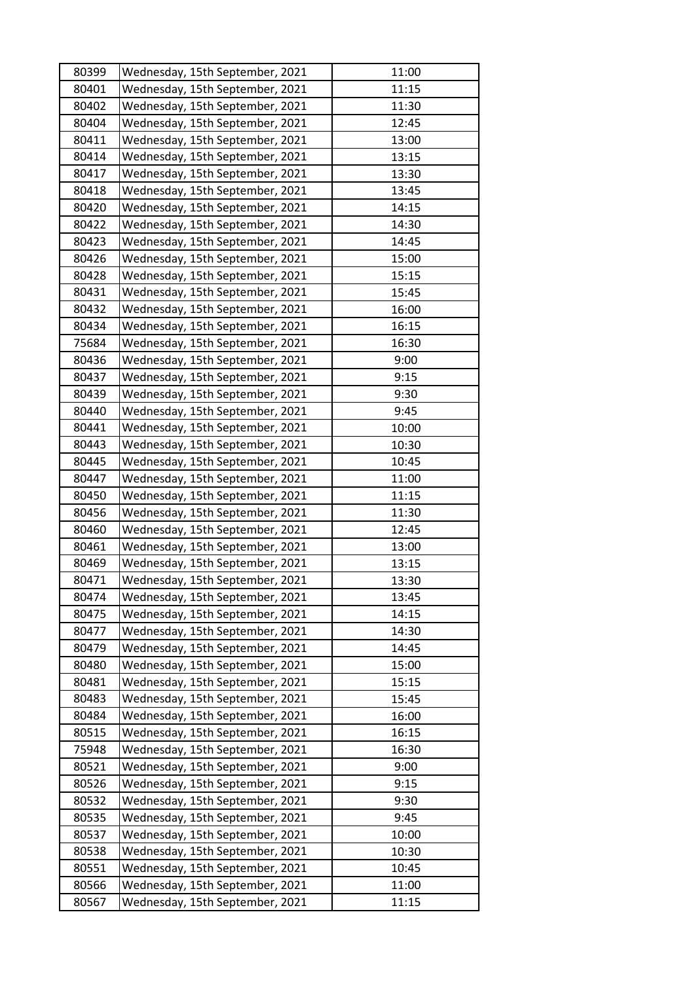| 80399 | Wednesday, 15th September, 2021 | 11:00 |
|-------|---------------------------------|-------|
| 80401 | Wednesday, 15th September, 2021 | 11:15 |
| 80402 | Wednesday, 15th September, 2021 | 11:30 |
| 80404 | Wednesday, 15th September, 2021 | 12:45 |
| 80411 | Wednesday, 15th September, 2021 | 13:00 |
| 80414 | Wednesday, 15th September, 2021 | 13:15 |
| 80417 | Wednesday, 15th September, 2021 | 13:30 |
| 80418 | Wednesday, 15th September, 2021 | 13:45 |
| 80420 | Wednesday, 15th September, 2021 | 14:15 |
| 80422 | Wednesday, 15th September, 2021 | 14:30 |
| 80423 | Wednesday, 15th September, 2021 | 14:45 |
| 80426 | Wednesday, 15th September, 2021 | 15:00 |
| 80428 | Wednesday, 15th September, 2021 | 15:15 |
| 80431 | Wednesday, 15th September, 2021 | 15:45 |
| 80432 | Wednesday, 15th September, 2021 | 16:00 |
| 80434 | Wednesday, 15th September, 2021 | 16:15 |
| 75684 | Wednesday, 15th September, 2021 | 16:30 |
| 80436 | Wednesday, 15th September, 2021 | 9:00  |
| 80437 | Wednesday, 15th September, 2021 | 9:15  |
| 80439 | Wednesday, 15th September, 2021 | 9:30  |
| 80440 | Wednesday, 15th September, 2021 | 9:45  |
| 80441 | Wednesday, 15th September, 2021 | 10:00 |
| 80443 | Wednesday, 15th September, 2021 | 10:30 |
| 80445 | Wednesday, 15th September, 2021 | 10:45 |
| 80447 | Wednesday, 15th September, 2021 | 11:00 |
| 80450 | Wednesday, 15th September, 2021 | 11:15 |
| 80456 | Wednesday, 15th September, 2021 | 11:30 |
| 80460 | Wednesday, 15th September, 2021 | 12:45 |
| 80461 | Wednesday, 15th September, 2021 | 13:00 |
| 80469 | Wednesday, 15th September, 2021 | 13:15 |
| 80471 | Wednesday, 15th September, 2021 | 13:30 |
| 80474 | Wednesday, 15th September, 2021 | 13:45 |
| 80475 | Wednesday, 15th September, 2021 | 14:15 |
| 80477 | Wednesday, 15th September, 2021 | 14:30 |
| 80479 | Wednesday, 15th September, 2021 | 14:45 |
| 80480 | Wednesday, 15th September, 2021 | 15:00 |
| 80481 | Wednesday, 15th September, 2021 | 15:15 |
| 80483 | Wednesday, 15th September, 2021 | 15:45 |
| 80484 | Wednesday, 15th September, 2021 | 16:00 |
| 80515 | Wednesday, 15th September, 2021 | 16:15 |
| 75948 | Wednesday, 15th September, 2021 | 16:30 |
| 80521 | Wednesday, 15th September, 2021 | 9:00  |
| 80526 | Wednesday, 15th September, 2021 | 9:15  |
| 80532 | Wednesday, 15th September, 2021 | 9:30  |
| 80535 | Wednesday, 15th September, 2021 | 9:45  |
| 80537 | Wednesday, 15th September, 2021 | 10:00 |
| 80538 | Wednesday, 15th September, 2021 | 10:30 |
| 80551 | Wednesday, 15th September, 2021 | 10:45 |
| 80566 | Wednesday, 15th September, 2021 | 11:00 |
| 80567 | Wednesday, 15th September, 2021 | 11:15 |